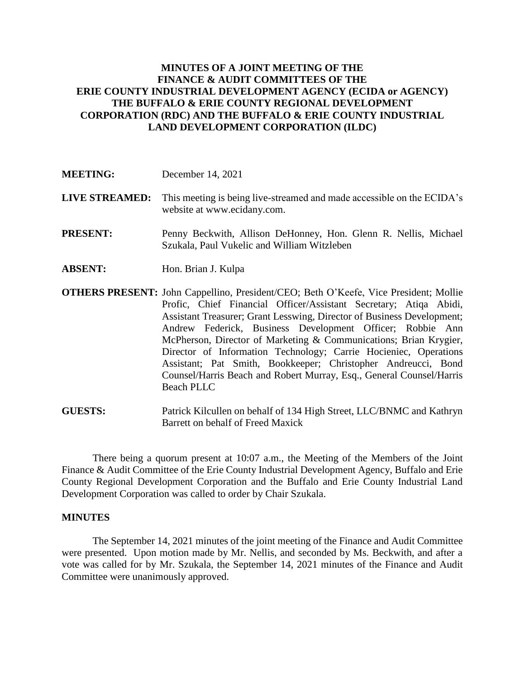## **MINUTES OF A JOINT MEETING OF THE FINANCE & AUDIT COMMITTEES OF THE ERIE COUNTY INDUSTRIAL DEVELOPMENT AGENCY (ECIDA or AGENCY) THE BUFFALO & ERIE COUNTY REGIONAL DEVELOPMENT CORPORATION (RDC) AND THE BUFFALO & ERIE COUNTY INDUSTRIAL LAND DEVELOPMENT CORPORATION (ILDC)**

**LIVE STREAMED:** This meeting is being live-streamed and made accessible on the ECIDA's website at www.ecidany.com.

**PRESENT:** Penny Beckwith, Allison DeHonney, Hon. Glenn R. Nellis, Michael Szukala, Paul Vukelic and William Witzleben

- **ABSENT:** Hon. Brian J. Kulpa
- **OTHERS PRESENT:** John Cappellino, President/CEO; Beth O'Keefe, Vice President; Mollie Profic, Chief Financial Officer/Assistant Secretary; Atiqa Abidi, Assistant Treasurer; Grant Lesswing, Director of Business Development; Andrew Federick, Business Development Officer; Robbie Ann McPherson, Director of Marketing & Communications; Brian Krygier, Director of Information Technology; Carrie Hocieniec, Operations Assistant; Pat Smith, Bookkeeper; Christopher Andreucci, Bond Counsel/Harris Beach and Robert Murray, Esq., General Counsel/Harris Beach PLLC

**GUESTS:** Patrick Kilcullen on behalf of 134 High Street, LLC/BNMC and Kathryn Barrett on behalf of Freed Maxick

There being a quorum present at 10:07 a.m., the Meeting of the Members of the Joint Finance & Audit Committee of the Erie County Industrial Development Agency, Buffalo and Erie County Regional Development Corporation and the Buffalo and Erie County Industrial Land Development Corporation was called to order by Chair Szukala.

## **MINUTES**

The September 14, 2021 minutes of the joint meeting of the Finance and Audit Committee were presented. Upon motion made by Mr. Nellis, and seconded by Ms. Beckwith, and after a vote was called for by Mr. Szukala, the September 14, 2021 minutes of the Finance and Audit Committee were unanimously approved.